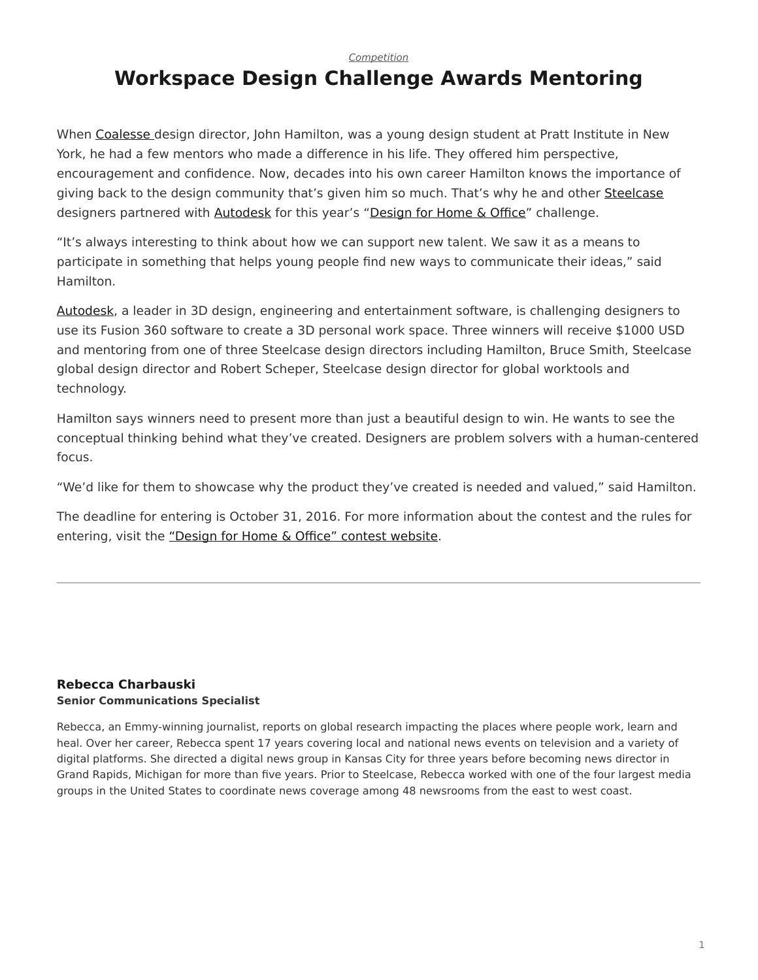*[Competition](https://www.steelcase.com/research/topics/competition/)*

## <span id="page-0-0"></span>**Workspace Design Challenge Awards Mentoring**

When [Coalesse](http://www.coalesse.com/) design director, John Hamilton, was a young design student at Pratt Institute in New York, he had a few mentors who made a difference in his life. They offered him perspective, encouragement and confidence. Now, decades into his own career Hamilton knows the importance of giving back to the design community that's given him so much. That's why he and other [Steelcase](http://www.steelcase.com/) designers partnered with [Autodesk](http://www.autodesk.com/) for this year's "[Design for Home & Office"](http://bit.ly/2ecTVAx) challenge.

"It's always interesting to think about how we can support new talent. We saw it as a means to participate in something that helps young people find new ways to communicate their ideas," said Hamilton.

[Autodesk,](http://www.autodesk.com/) a leader in 3D design, engineering and entertainment software, is challenging designers to use its Fusion 360 software to create a 3D personal work space. Three winners will receive \$1000 USD and mentoring from one of three Steelcase design directors including Hamilton, Bruce Smith, Steelcase global design director and Robert Scheper, Steelcase design director for global worktools and technology.

Hamilton says winners need to present more than just a beautiful design to win. He wants to see the conceptual thinking behind what they've created. Designers are problem solvers with a human-centered focus.

"We'd like for them to showcase why the product they've created is needed and valued," said Hamilton.

The deadline for entering is October 31, 2016. For more information about the contest and the rules for entering, visit the ["Design for Home & Office" contest website.](http://bit.ly/2ecTVAx)

## **[Rebecca Charbauski](https://www.steelcase.com/research/articles/author/rcharbausteelcase-com/) Senior Communications Specialist**

Rebecca, an Emmy-winning journalist, reports on global research impacting the places where people work, learn and heal. Over her career, Rebecca spent 17 years covering local and national news events on television and a variety of digital platforms. She directed a digital news group in Kansas City for three years before becoming news director in Grand Rapids, Michigan for more than five years. Prior to Steelcase, Rebecca worked with one of the four largest media groups in the United States to coordinate news coverage among 48 newsrooms from the east to west coast.